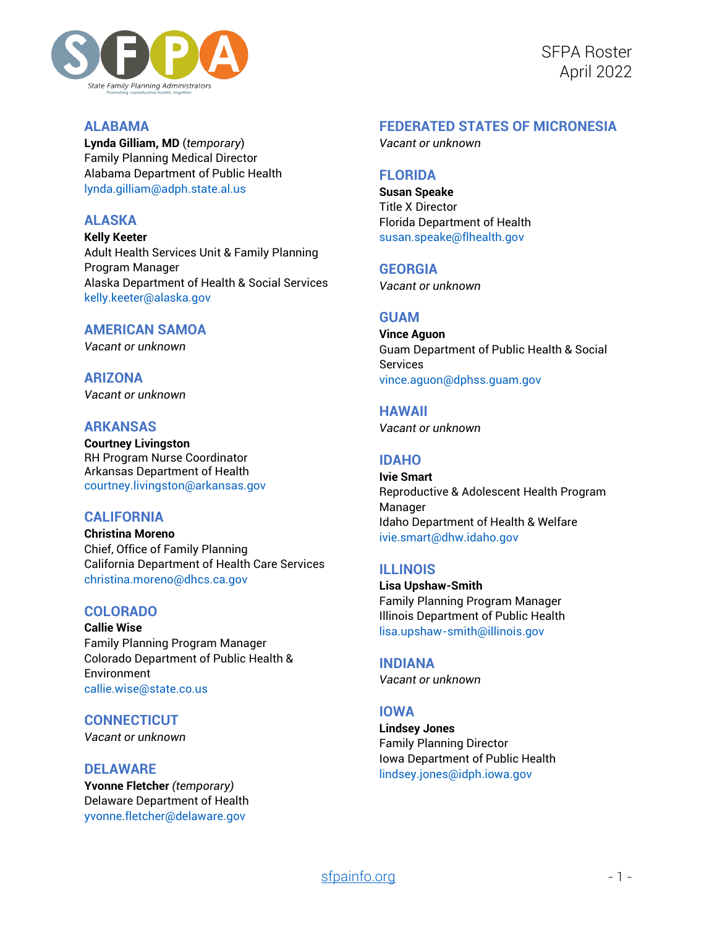

SFPA Roster April 2022

## **ALABAMA**

**Lynda Gilliam, MD** (*temporary*) Family Planning Medical Director Alabama Department of Public Health [lynda.gilliam@adph.state.al.us](mailto:lynda.gilliam@adph.state.al.us)

# **ALASKA**

**Kelly Keeter** Adult Health Services Unit & Family Planning Program Manager Alaska Department of Health & Social Services [kelly.keeter@alaska.gov](mailto:kelly.keeter@alaska.gov)

## **AMERICAN SAMOA**

*Vacant or unknown*

**ARIZONA** *Vacant or unknown*

### **ARKANSAS**

**Courtney Livingston** RH Program Nurse Coordinator Arkansas Department of Health [courtney.livingston@arkansas.gov](mailto:courtney.livingston@arkansas.gov)

# **CALIFORNIA**

**Christina Moreno** Chief, Office of Family Planning California Department of Health Care Services [christina.moreno@dhcs.ca.gov](mailto:Christina.Moreno@dhcs.ca.gov)

# **COLORADO**

**Callie Wise** Family Planning Program Manager Colorado Department of Public Health & Environment [callie.wise@state.co.us](mailto:callie.wise@state.co.us)

### **CONNECTICUT**

*Vacant or unknown*

#### **DELAWARE**

**Yvonne Fletcher** *(temporary)* Delaware Department of Health [yvonne.fletcher@delaware.gov](mailto:yvonne.fletcher@delaware.gov)

# **FEDERATED STATES OF MICRONESIA**

*Vacant or unknown*

## **FLORIDA**

**Susan Speake** Title X Director Florida Department of Health [susan.speake@flhealth.gov](mailto:susan.speake@flhealth.gov)

### **GEORGIA**

*Vacant or unknown*

## **GUAM**

**Vince Aguon** Guam Department of Public Health & Social Services [vince.aguon@dphss.guam.gov](mailto:vince.aguon@dphss.guam.gov)

**HAWAII**

*Vacant or unknown*

## **IDAHO**

**Ivie Smart** Reproductive & Adolescent Health Program Manager Idaho Department of Health & Welfare [ivie.smart@dhw.idaho.gov](mailto:ivie.smart@dhw.idaho.gov)

### **ILLINOIS**

**Lisa Upshaw-Smith** Family Planning Program Manager Illinois Department of Public Health [lisa.upshaw-smith@illinois.gov](mailto:lisa.upshaw-smith@illinois.gov)

**INDIANA** *Vacant or unknown*

### **IOWA**

**Lindsey Jones** Family Planning Director Iowa Department of Public Health [lindsey.jones@idph.iowa.gov](mailto:lindsey.jones@idph.iowa.gov)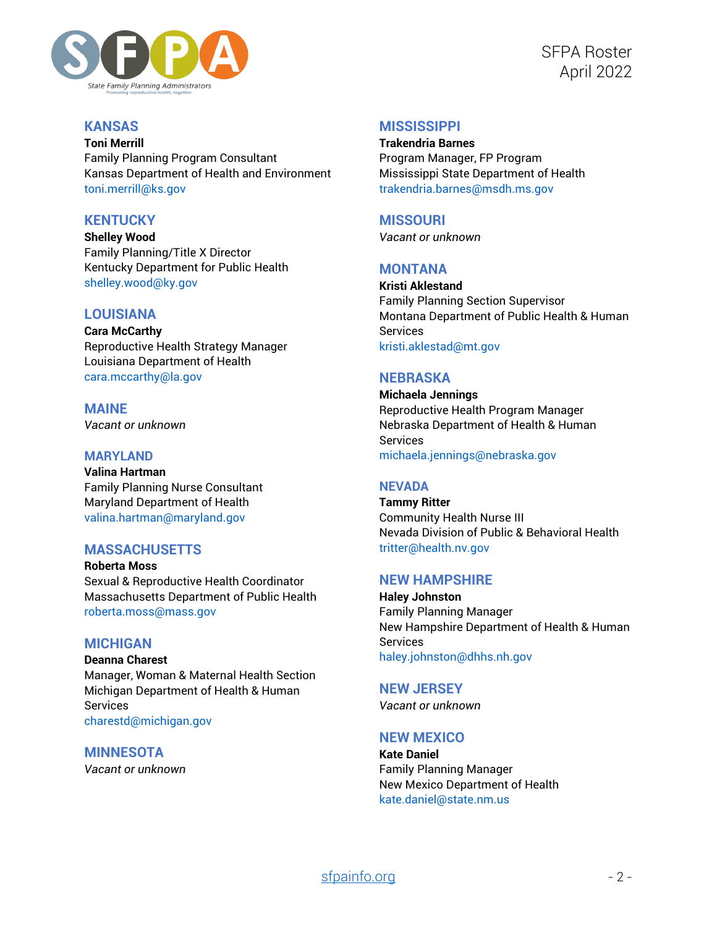

## **KANSAS**

**Toni Merrill** Family Planning Program Consultant Kansas Department of Health and Environment [toni.merrill@ks.gov](mailto:toni.merrill@ks.gov)

# **KENTUCKY**

**Shelley Wood** Family Planning/Title X Director Kentucky Department for Public Health [shelley.wood@ky.gov](mailto:shelley.wood@ky.gov)

# **LOUISIANA**

**Cara McCarthy** Reproductive Health Strategy Manager Louisiana Department of Health [cara.mccarthy@la.gov](mailto:cara.mccarthy@la.gov)

**MAINE** *Vacant or unknown*

#### **MARYLAND**

**Valina Hartman** Family Planning Nurse Consultant Maryland Department of Health [valina.hartman@maryland.gov](mailto:valina.hartman@maryland.gov)

# **MASSACHUSETTS**

**Roberta Moss** Sexual & Reproductive Health Coordinator Massachusetts Department of Public Health [roberta.moss@mass.gov](mailto:roberta.moss@mass.gov)

### **MICHIGAN**

**Deanna Charest** Manager, Woman & Maternal Health Section Michigan Department of Health & Human Services [charestd@michigan.gov](mailto:charestd@michigan.gov)

**MINNESOTA** *Vacant or unknown*

## **MISSISSIPPI**

**Trakendria Barnes** Program Manager, FP Program Mississippi State Department of Health [trakendria.barnes@msdh.ms.gov](mailto:trakendria.barnes@msdh.ms.gov)

### **MISSOURI**

*Vacant or unknown*

# **MONTANA**

**Kristi Aklestand** Family Planning Section Supervisor Montana Department of Public Health & Human Services [kristi.aklestad@mt.gov](mailto:kristi.aklestad@mt.gov)

### **NEBRASKA**

**Michaela Jennings** Reproductive Health Program Manager Nebraska Department of Health & Human Services [michaela.jennings@nebraska.gov](mailto:michaela.jennings@nebraska.gov)

### **NEVADA**

**Tammy Ritter** Community Health Nurse III Nevada Division of Public & Behavioral Health [tritter@health.nv.gov](mailto:tritter@health.nv.gov)

#### **NEW HAMPSHIRE**

**Haley Johnston** Family Planning Manager New Hampshire Department of Health & Human **Services** [haley.johnston@dhhs.nh.gov](mailto:haley.johnston@dhhs.nh.gov)

# **NEW JERSEY**

*Vacant or unknown*

## **NEW MEXICO**

**Kate Daniel** Family Planning Manager New Mexico Department of Health [kate.daniel@state.nm.us](mailto:kate.daniel@state.nm.us)

# [sfpainfo.org](https://sfpainfo.org/) - 2 -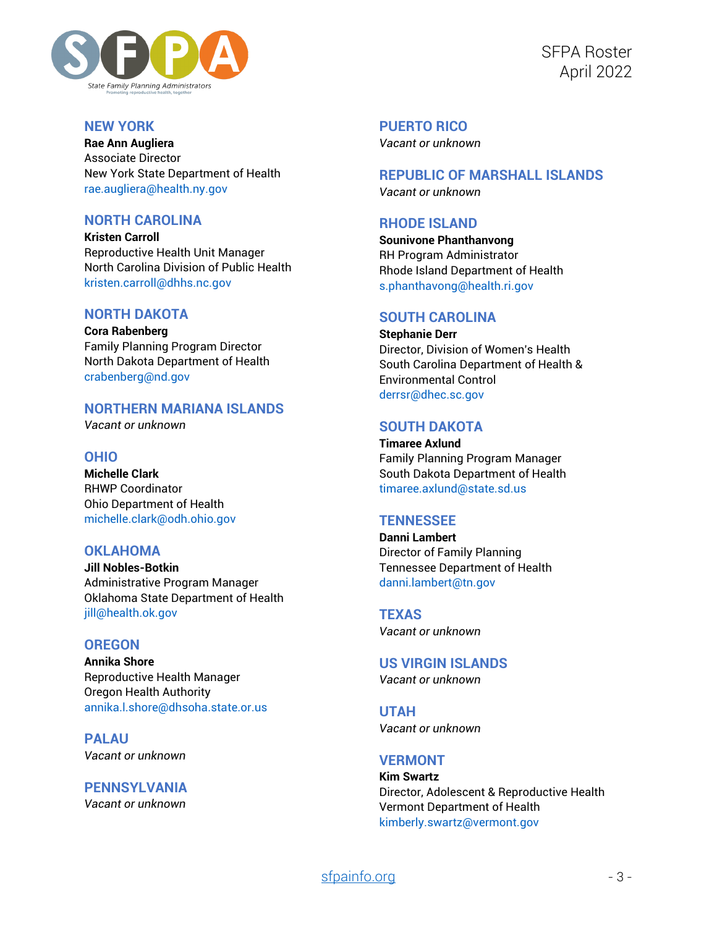

SFPA Roster April 2022

## **NEW YORK**

**Rae Ann Augliera** Associate Director New York State Department of Health [rae.augliera@health.ny.gov](mailto:rae.augliera@health.ny.gov)

## **NORTH CAROLINA**

**Kristen Carroll** Reproductive Health Unit Manager North Carolina Division of Public Health [kristen.carroll@dhhs.nc.gov](mailto:kristen.carroll@dhhs.nc.gov)

## **NORTH DAKOTA**

**Cora Rabenberg** Family Planning Program Director North Dakota Department of Health [crabenberg@nd.gov](mailto:crabenberg@nd.gov)

# **NORTHERN MARIANA ISLANDS**

*Vacant or unknown*

## **OHIO**

**Michelle Clark** RHWP Coordinator Ohio Department of Health [michelle.clark@odh.ohio.gov](mailto:michelle.clark@odh.ohio.gov)

## **OKI AHOMA**

**Jill Nobles-Botkin** Administrative Program Manager Oklahoma State Department of Health [jill@health.ok.gov](mailto:Jill@health.ok.gov)

# **OREGON**

**Annika Shore** Reproductive Health Manager Oregon Health Authority [annika.l.shore@dhsoha.state.or.us](mailto:annika.l.shore@dhsoha.state.or.us)

**PALAU** *Vacant or unknown*

**PENNSYLVANIA** *Vacant or unknown*

**PUERTO RICO**

*Vacant or unknown*

#### **REPUBLIC OF MARSHALL ISLANDS** *Vacant or unknown*

### **RHODE ISLAND**

**Sounivone Phanthanvong** RH Program Administrator Rhode Island Department of Health [s.phanthavong@health.ri.gov](mailto:s.phanthavong@health.ri.gov)

# **SOUTH CAROLINA**

**Stephanie Derr** Director, Division of Women's Health South Carolina Department of Health & Environmental Control [derrsr@dhec.sc.gov](mailto:derrsr@dhec.sc.gov)

## **SOUTH DAKOTA**

**Timaree Axlund** Family Planning Program Manager South Dakota Department of Health [timaree.axlund@state.sd.us](mailto:timaree.axlund@state.sd.us)

# **TENNESSEE**

**Danni Lambert** Director of Family Planning Tennessee Department of Health [danni.lambert@tn.gov](mailto:danni.lambert@tn.gov)

**TEXAS** *Vacant or unknown*

**US VIRGIN ISLANDS** *Vacant or unknown*

**UTAH** *Vacant or unknown*

### **VERMONT**

**Kim Swartz** Director, Adolescent & Reproductive Health Vermont Department of Health [kimberly.swartz@vermont.gov](mailto:kimberly.swartz@vermont.gov)

# [sfpainfo.org](https://sfpainfo.org/) - 3 -